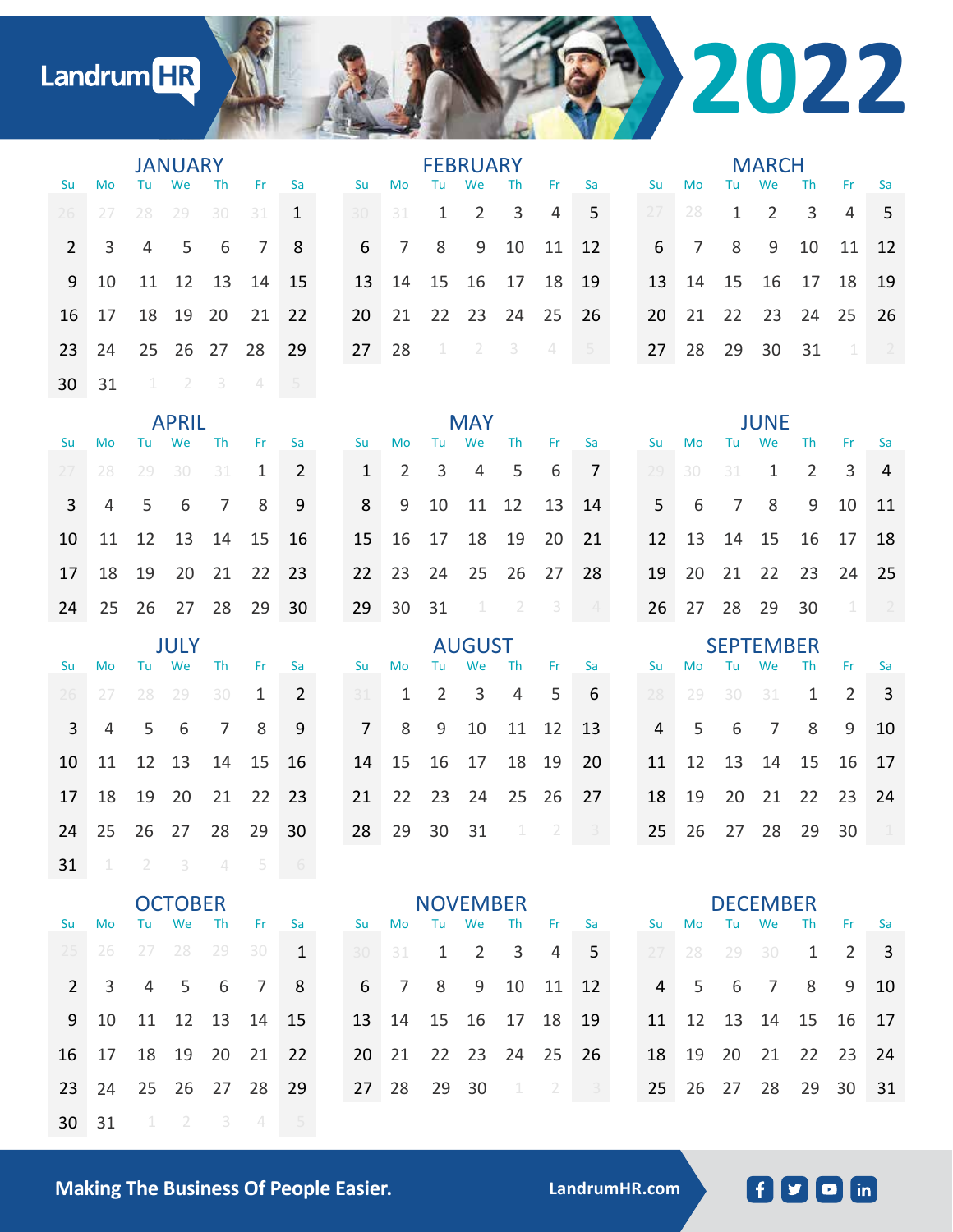## Landrum HR

|                |                |                | <b>JANUARY</b> |                          |                |                | <b>FEBRUARY</b> |               |                |                |                |           |                            |                |  |                  | <b>MARCH</b> |                |              |    |                |                |  |  |
|----------------|----------------|----------------|----------------|--------------------------|----------------|----------------|-----------------|---------------|----------------|----------------|----------------|-----------|----------------------------|----------------|--|------------------|--------------|----------------|--------------|----|----------------|----------------|--|--|
| Su             | Mo             | Tu             | We             | Th                       | Fr.            | Sa             |                 | Su            | Mo             | Tu             | We             | Th        | Fr.                        | Sa             |  | Su               | Mo           | Tu             | We           | Th | Fr.            | Sa             |  |  |
| 26             | 27             | 28             | 29             | 30                       | 31             | $\mathbf{1}$   |                 | 30            | 31             | 1              | 2              | 3         | $\overline{4}$             | 5              |  | 27               | 28           | $\mathbf{1}$   | 2            | 3  | $\overline{4}$ | 5              |  |  |
| $\overline{2}$ | 3              | $\overline{4}$ | 5              | 6                        | $\overline{7}$ | 8              |                 | 6             | 7              | 8              | 9              | 10        | 11                         | 12             |  | 6                | 7            | 8              | 9            | 10 | 11             | 12             |  |  |
| 9              | 10             | 11             | 12             | 13                       | 14             | 15             |                 | 13            | 14             | 15             | 16             | 17        | 18                         | 19             |  | 13               | 14           | 15             | 16           | 17 | 18             | 19             |  |  |
| 16             | 17             | 18             | 19             | 20                       | 21             | 22             |                 | 20            | 21             | 22             | 23             | 24        | 25                         | 26             |  | 20               | 21           | 22             | 23           | 24 | 25             | 26             |  |  |
| 23             | 24             | 25             | 26             | 27                       | 28             | 29             |                 | 27            | 28             | $\perp$        | $\overline{2}$ | 3         | $\angle\!\!\!\!\downarrow$ | 5              |  | 27               | 28           | 29             | 30           | 31 | 1              | $-2$           |  |  |
| 30             | 31             | $\perp$        | $\overline{2}$ | 3                        | 4              | $5 -$          |                 |               |                |                |                |           |                            |                |  |                  |              |                |              |    |                |                |  |  |
|                |                |                | <b>APRIL</b>   |                          |                |                |                 | <b>MAY</b>    |                |                |                |           |                            |                |  |                  |              | <b>JUNE</b>    |              |    |                |                |  |  |
| Su             | Mo             | Tu             | We             | <b>Th</b>                | Fr.            | Sa             |                 | Su            | Mo             | Tu.            | We             | <b>Th</b> | Fr                         | Sa             |  | Su               | Mo           | Tu             | We           | Th | Fr.            | Sa             |  |  |
| 27             | 28             | 29             | 30             | 31                       | 1              | 2              |                 | $\mathbf{1}$  | $\overline{2}$ | 3              | $\overline{4}$ | 5         | 6                          | $\overline{7}$ |  | 29               | 30           | 31             | $\mathbf{1}$ | 2  | 3              | 4              |  |  |
| 3              | $\overline{4}$ | 5              | 6              | $\overline{7}$           | 8              | 9              |                 | 8             | 9              | 10             | 11             | 12        | 13                         | 14             |  | 5                | 6            | $\overline{7}$ | 8            | 9  | 10             | 11             |  |  |
| 10             | 11             | 12             | 13             | 14                       | 15             | 16             |                 | 15            | 16             | 17             | 18             | 19        | 20                         | 21             |  | 12               | 13           | 14             | 15           | 16 | 17             | 18             |  |  |
| 17             | 18             | 19             | 20             | 21                       | 22             | 23             |                 | 22            | 23             | 24             | 25             | 26        | 27                         | 28             |  | 19               | 20           | 21             | 22           | 23 | 24             | 25             |  |  |
| 24             | 25             | 26             | 27             | 28                       | 29             | 30             |                 | 29            | 30             | 31             | $\perp$        | $-2$      | 3                          | $\overline{4}$ |  | 26               | 27           | 28             | 29           | 30 | 1              | $\overline{2}$ |  |  |
|                |                |                | <b>JULY</b>    |                          |                |                |                 | <b>AUGUST</b> |                |                |                |           |                            |                |  | <b>SEPTEMBER</b> |              |                |              |    |                |                |  |  |
| Su             | Mo             | Tu             | We             | Th                       | Fr.            | Sa             |                 | Su            | Mo             | Tu             | We             | Th        | Fr                         | Sa             |  | Su               | Mo           | Tu             | We           | Th | Fr             | Sa             |  |  |
| 26             | 27             | 28             | 29             | 30                       | 1              | $\overline{2}$ |                 | 31            | 1              | $\overline{2}$ | 3              | 4         | 5                          | 6              |  | 28               | 29           | 30             | 31           | 1  | $\overline{2}$ | 3              |  |  |
| 3              | 4              | 5              | 6              | $\overline{7}$           | 8              | 9              |                 | 7             | 8              | 9              | 10             | 11        | 12                         | 13             |  | 4                | 5            | 6              | 7            | 8  | 9              | 10             |  |  |
| 10             | 11             | 12             | 13             | 14                       | 15             | 16             |                 | 14            | 15             | 16             | 17             | 18        | 19                         | 20             |  | 11               | 12           | 13             | 14           | 15 | 16             | 17             |  |  |
| 17             | 18             | 19             | 20             | 21                       | 22             | 23             |                 | 21            | 22             | 23             | 24             | 25        | 26                         | 27             |  | 18               | 19           | 20             | 21           | 22 | 23             | 24             |  |  |
| 24             | 25             | 26             | 27             | 28                       | 29             | 30             |                 | 28            | 29             | 30             | 31             | $\perp$   | $\overline{2}$             | 3              |  | 25               | 26           | 27             | 28           | 29 | 30             | $\perp$        |  |  |
| 31             | $\perp$        | $\overline{2}$ | 3              | $\overline{\mathcal{L}}$ | 5              | 6              |                 |               |                |                |                |           |                            |                |  |                  |              |                |              |    |                |                |  |  |

| <b>OCTOBER</b> |      |                |          |             |                |              |  | <b>NOVEMBER</b> |                |                |                |             |                |      |  | <b>DECEMBER</b> |       |           |          |          |      |     |
|----------------|------|----------------|----------|-------------|----------------|--------------|--|-----------------|----------------|----------------|----------------|-------------|----------------|------|--|-----------------|-------|-----------|----------|----------|------|-----|
| <b>Su</b>      | Mo.  | Tu             | We       | <b>Th</b>   | Fr.            | <b>Sa</b>    |  |                 | Su Mo          | Tu             | We             | <b>Th</b>   | -Fr            | - Sa |  | <b>Su</b>       | Mo    | Tu        | We       | Th       | -Fr  | -Sa |
| 25             | 26   | -27            | 28       | 29          | 30             | $\mathbf{1}$ |  | 30              | 31             | $\overline{1}$ | $\overline{2}$ | 3           | 4              | 5    |  | 27              | 28    | -29       | 30       | 1        | 2    | -3  |
| $\mathcal{P}$  | 3    | $\overline{4}$ | 5        | - 6         | $\overline{7}$ | - 8          |  | 6               | $\overline{7}$ | 8 <sup>8</sup> | 9              | 10          | 11             | 12   |  |                 | 4 5   | - 6       | 7        | 8        | 9    | 10  |
| 9              | 10   |                |          | 11 12 13 14 |                | -15          |  |                 | 13 14 15 16    |                |                | 17          | - 18           | 19   |  | 11              | 12    |           | 13 14 15 |          | - 16 | 17  |
| $16-1$         | 17   | 18             | - 19     | - 20        | 21             | 22           |  | 20 L            | 21             |                |                | 22 23 24 25 |                | -26  |  | 18              | 19    | <b>20</b> |          | 21 22 23 |      | 24  |
| 23             | 24   |                | 25 26 27 |             | -28            | 29           |  |                 | 27 28          | 29             | 30             | -1.         | $\overline{2}$ | $-3$ |  |                 | 25 26 | 27        | 28       | 29       | 30   | 31  |
| 30             | - 31 |                |          |             | $\Delta$       | 5            |  |                 |                |                |                |             |                |      |  |                 |       |           |          |          |      |     |

**Making The Business Of People Easier. LandrumHR.com**

**2022**